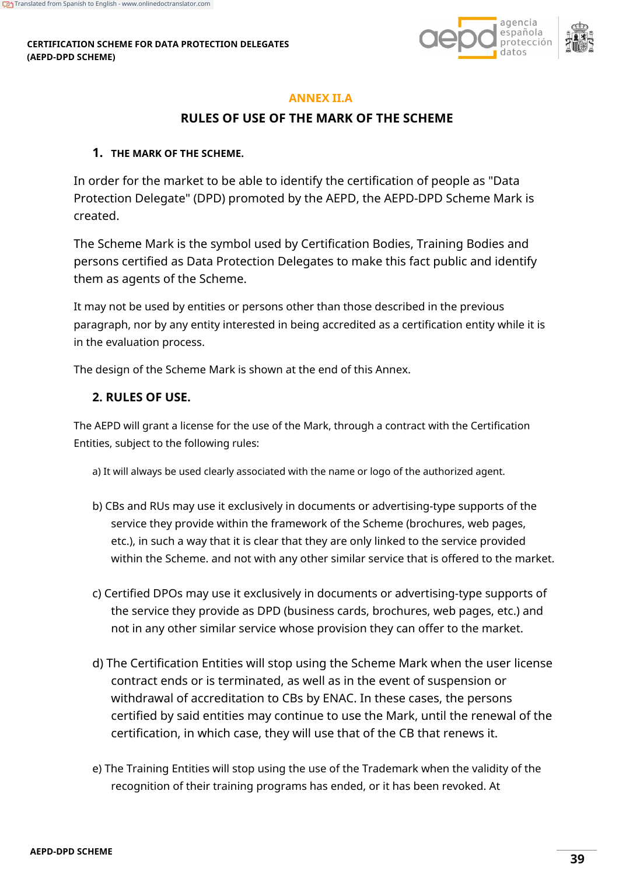#### **CERTIFICATION SCHEME FOR DATA PROTECTION DELEGATES (AEPD-DPD SCHEME)**



### **ANNEX II.A**

## **RULES OF USE OF THE MARK OF THE SCHEME**

#### **1. THE MARK OF THE SCHEME.**

In order for the market to be able to identify the certification of people as "Data Protection Delegate" (DPD) promoted by the AEPD, the AEPD-DPD Scheme Mark is created.

The Scheme Mark is the symbol used by Certification Bodies, Training Bodies and persons certified as Data Protection Delegates to make this fact public and identify them as agents of the Scheme.

It may not be used by entities or persons other than those described in the previous paragraph, nor by any entity interested in being accredited as a certification entity while it is in the evaluation process.

The design of the Scheme Mark is shown at the end of this Annex.

### **2. RULES OF USE.**

The AEPD will grant a license for the use of the Mark, through a contract with the Certification Entities, subject to the following rules:

a) It will always be used clearly associated with the name or logo of the authorized agent.

- b) CBs and RUs may use it exclusively in documents or advertising-type supports of the service they provide within the framework of the Scheme (brochures, web pages, etc.), in such a way that it is clear that they are only linked to the service provided within the Scheme. and not with any other similar service that is offered to the market.
- c) Certified DPOs may use it exclusively in documents or advertising-type supports of the service they provide as DPD (business cards, brochures, web pages, etc.) and not in any other similar service whose provision they can offer to the market.
- d) The Certification Entities will stop using the Scheme Mark when the user license contract ends or is terminated, as well as in the event of suspension or withdrawal of accreditation to CBs by ENAC. In these cases, the persons certified by said entities may continue to use the Mark, until the renewal of the certification, in which case, they will use that of the CB that renews it.
- e) The Training Entities will stop using the use of the Trademark when the validity of the recognition of their training programs has ended, or it has been revoked. At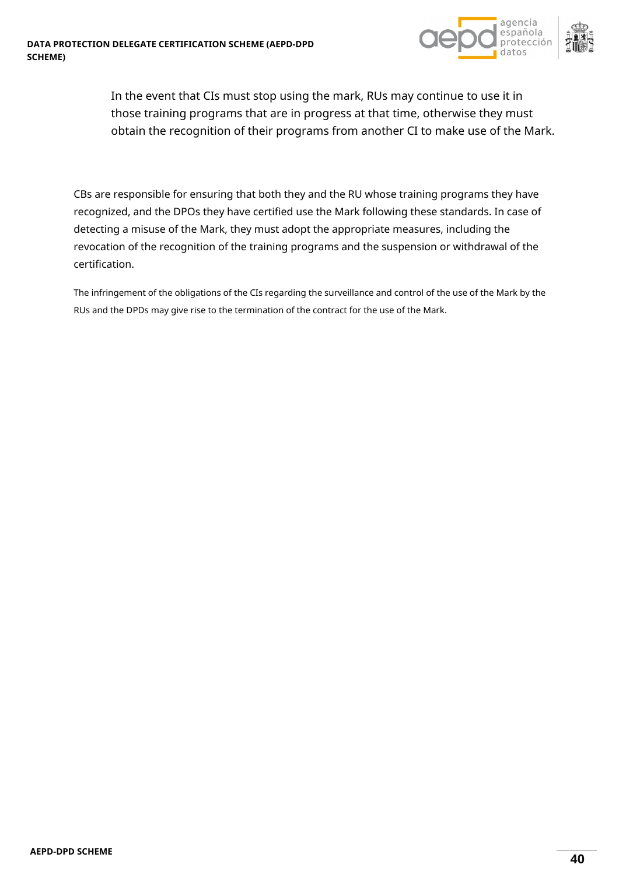



In the event that CIs must stop using the mark, RUs may continue to use it in those training programs that are in progress at that time, otherwise they must obtain the recognition of their programs from another CI to make use of the Mark.

CBs are responsible for ensuring that both they and the RU whose training programs they have recognized, and the DPOs they have certified use the Mark following these standards. In case of detecting a misuse of the Mark, they must adopt the appropriate measures, including the revocation of the recognition of the training programs and the suspension or withdrawal of the certification.

The infringement of the obligations of the CIs regarding the surveillance and control of the use of the Mark by the RUs and the DPDs may give rise to the termination of the contract for the use of the Mark.